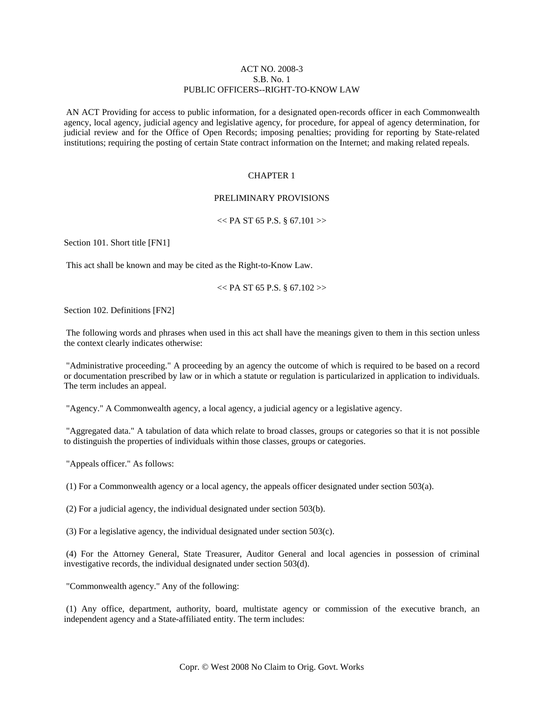# ACT NO. 2008-3 S.B. No. 1 PUBLIC OFFICERS--RIGHT-TO-KNOW LAW

 AN ACT Providing for access to public information, for a designated open-records officer in each Commonwealth agency, local agency, judicial agency and legislative agency, for procedure, for appeal of agency determination, for judicial review and for the Office of Open Records; imposing penalties; providing for reporting by State-related institutions; requiring the posting of certain State contract information on the Internet; and making related repeals.

### CHAPTER 1

# PRELIMINARY PROVISIONS

#### $<<$  PA ST 65 P.S. § 67.101 >>

Section 101. Short title [FN1]

This act shall be known and may be cited as the Right-to-Know Law.

 $<<$  PA ST 65 P.S. § 67.102 >>

Section 102. Definitions [FN2]

 The following words and phrases when used in this act shall have the meanings given to them in this section unless the context clearly indicates otherwise:

 "Administrative proceeding." A proceeding by an agency the outcome of which is required to be based on a record or documentation prescribed by law or in which a statute or regulation is particularized in application to individuals. The term includes an appeal.

"Agency." A Commonwealth agency, a local agency, a judicial agency or a legislative agency.

 "Aggregated data." A tabulation of data which relate to broad classes, groups or categories so that it is not possible to distinguish the properties of individuals within those classes, groups or categories.

"Appeals officer." As follows:

(1) For a Commonwealth agency or a local agency, the appeals officer designated under section 503(a).

(2) For a judicial agency, the individual designated under section 503(b).

(3) For a legislative agency, the individual designated under section 503(c).

 (4) For the Attorney General, State Treasurer, Auditor General and local agencies in possession of criminal investigative records, the individual designated under section 503(d).

"Commonwealth agency." Any of the following:

 (1) Any office, department, authority, board, multistate agency or commission of the executive branch, an independent agency and a State-affiliated entity. The term includes: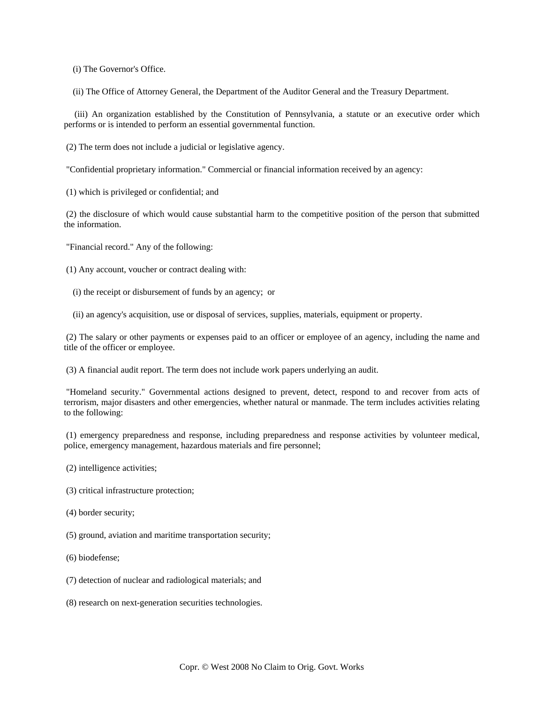(i) The Governor's Office.

(ii) The Office of Attorney General, the Department of the Auditor General and the Treasury Department.

 (iii) An organization established by the Constitution of Pennsylvania, a statute or an executive order which performs or is intended to perform an essential governmental function.

(2) The term does not include a judicial or legislative agency.

"Confidential proprietary information." Commercial or financial information received by an agency:

(1) which is privileged or confidential; and

 (2) the disclosure of which would cause substantial harm to the competitive position of the person that submitted the information.

"Financial record." Any of the following:

(1) Any account, voucher or contract dealing with:

- (i) the receipt or disbursement of funds by an agency; or
- (ii) an agency's acquisition, use or disposal of services, supplies, materials, equipment or property.

 (2) The salary or other payments or expenses paid to an officer or employee of an agency, including the name and title of the officer or employee.

(3) A financial audit report. The term does not include work papers underlying an audit.

 "Homeland security." Governmental actions designed to prevent, detect, respond to and recover from acts of terrorism, major disasters and other emergencies, whether natural or manmade. The term includes activities relating to the following:

 (1) emergency preparedness and response, including preparedness and response activities by volunteer medical, police, emergency management, hazardous materials and fire personnel;

- (2) intelligence activities;
- (3) critical infrastructure protection;
- (4) border security;
- (5) ground, aviation and maritime transportation security;
- (6) biodefense;
- (7) detection of nuclear and radiological materials; and
- (8) research on next-generation securities technologies.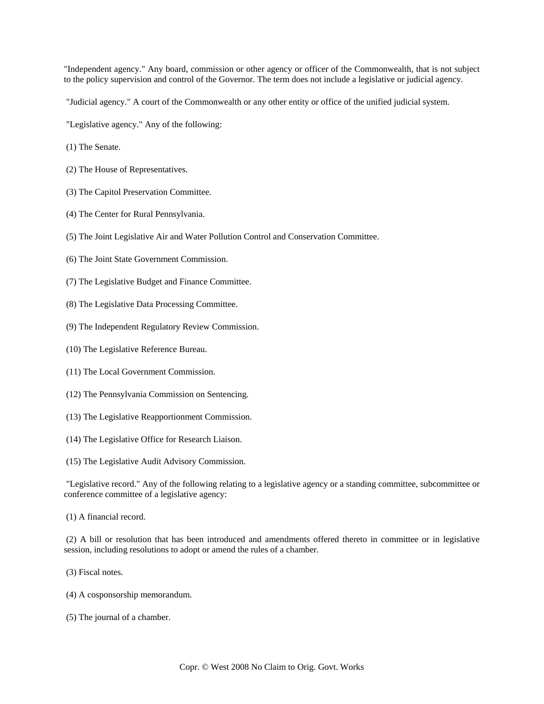"Independent agency." Any board, commission or other agency or officer of the Commonwealth, that is not subject to the policy supervision and control of the Governor. The term does not include a legislative or judicial agency.

"Judicial agency." A court of the Commonwealth or any other entity or office of the unified judicial system.

"Legislative agency." Any of the following:

- (1) The Senate.
- (2) The House of Representatives.
- (3) The Capitol Preservation Committee.
- (4) The Center for Rural Pennsylvania.
- (5) The Joint Legislative Air and Water Pollution Control and Conservation Committee.
- (6) The Joint State Government Commission.
- (7) The Legislative Budget and Finance Committee.
- (8) The Legislative Data Processing Committee.
- (9) The Independent Regulatory Review Commission.
- (10) The Legislative Reference Bureau.
- (11) The Local Government Commission.
- (12) The Pennsylvania Commission on Sentencing.
- (13) The Legislative Reapportionment Commission.
- (14) The Legislative Office for Research Liaison.

(15) The Legislative Audit Advisory Commission.

 "Legislative record." Any of the following relating to a legislative agency or a standing committee, subcommittee or conference committee of a legislative agency:

(1) A financial record.

 (2) A bill or resolution that has been introduced and amendments offered thereto in committee or in legislative session, including resolutions to adopt or amend the rules of a chamber.

(3) Fiscal notes.

- (4) A cosponsorship memorandum.
- (5) The journal of a chamber.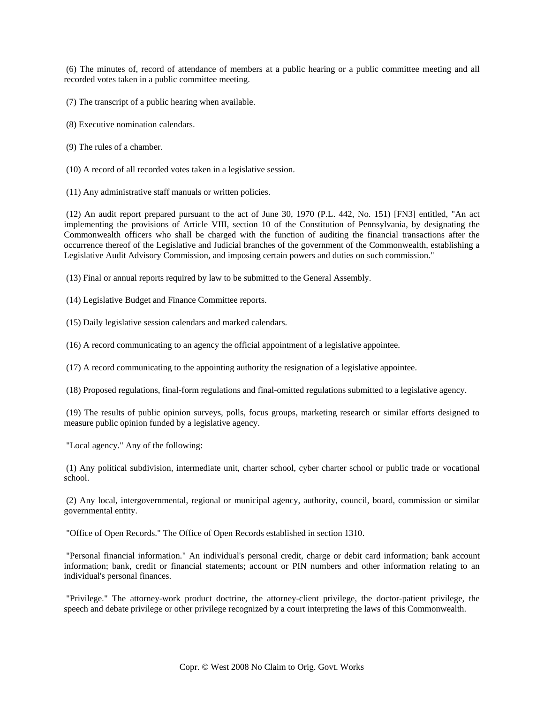(6) The minutes of, record of attendance of members at a public hearing or a public committee meeting and all recorded votes taken in a public committee meeting.

(7) The transcript of a public hearing when available.

- (8) Executive nomination calendars.
- (9) The rules of a chamber.
- (10) A record of all recorded votes taken in a legislative session.

(11) Any administrative staff manuals or written policies.

 (12) An audit report prepared pursuant to the act of June 30, 1970 (P.L. 442, No. 151) [FN3] entitled, "An act implementing the provisions of Article VIII, section 10 of the Constitution of Pennsylvania, by designating the Commonwealth officers who shall be charged with the function of auditing the financial transactions after the occurrence thereof of the Legislative and Judicial branches of the government of the Commonwealth, establishing a Legislative Audit Advisory Commission, and imposing certain powers and duties on such commission."

(13) Final or annual reports required by law to be submitted to the General Assembly.

(14) Legislative Budget and Finance Committee reports.

(15) Daily legislative session calendars and marked calendars.

(16) A record communicating to an agency the official appointment of a legislative appointee.

(17) A record communicating to the appointing authority the resignation of a legislative appointee.

(18) Proposed regulations, final-form regulations and final-omitted regulations submitted to a legislative agency.

 (19) The results of public opinion surveys, polls, focus groups, marketing research or similar efforts designed to measure public opinion funded by a legislative agency.

"Local agency." Any of the following:

 (1) Any political subdivision, intermediate unit, charter school, cyber charter school or public trade or vocational school.

 (2) Any local, intergovernmental, regional or municipal agency, authority, council, board, commission or similar governmental entity.

"Office of Open Records." The Office of Open Records established in section 1310.

 "Personal financial information." An individual's personal credit, charge or debit card information; bank account information; bank, credit or financial statements; account or PIN numbers and other information relating to an individual's personal finances.

 "Privilege." The attorney-work product doctrine, the attorney-client privilege, the doctor-patient privilege, the speech and debate privilege or other privilege recognized by a court interpreting the laws of this Commonwealth.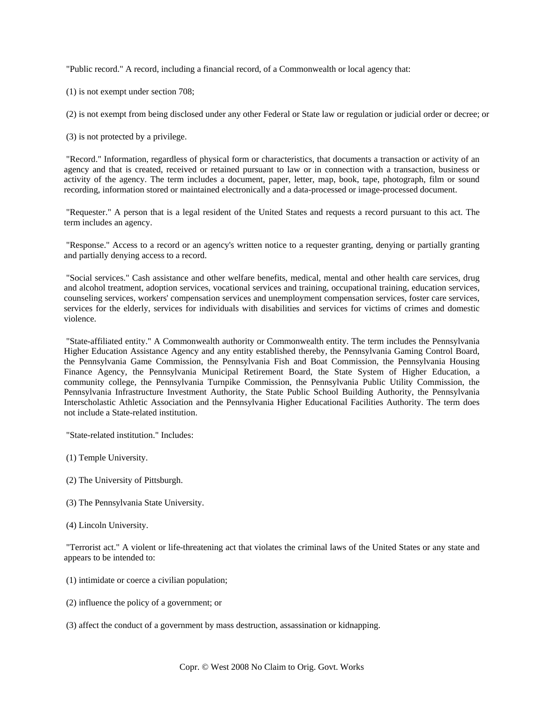"Public record." A record, including a financial record, of a Commonwealth or local agency that:

(1) is not exempt under section 708;

(2) is not exempt from being disclosed under any other Federal or State law or regulation or judicial order or decree; or

(3) is not protected by a privilege.

 "Record." Information, regardless of physical form or characteristics, that documents a transaction or activity of an agency and that is created, received or retained pursuant to law or in connection with a transaction, business or activity of the agency. The term includes a document, paper, letter, map, book, tape, photograph, film or sound recording, information stored or maintained electronically and a data-processed or image-processed document.

 "Requester." A person that is a legal resident of the United States and requests a record pursuant to this act. The term includes an agency.

 "Response." Access to a record or an agency's written notice to a requester granting, denying or partially granting and partially denying access to a record.

 "Social services." Cash assistance and other welfare benefits, medical, mental and other health care services, drug and alcohol treatment, adoption services, vocational services and training, occupational training, education services, counseling services, workers' compensation services and unemployment compensation services, foster care services, services for the elderly, services for individuals with disabilities and services for victims of crimes and domestic violence.

 "State-affiliated entity." A Commonwealth authority or Commonwealth entity. The term includes the Pennsylvania Higher Education Assistance Agency and any entity established thereby, the Pennsylvania Gaming Control Board, the Pennsylvania Game Commission, the Pennsylvania Fish and Boat Commission, the Pennsylvania Housing Finance Agency, the Pennsylvania Municipal Retirement Board, the State System of Higher Education, a community college, the Pennsylvania Turnpike Commission, the Pennsylvania Public Utility Commission, the Pennsylvania Infrastructure Investment Authority, the State Public School Building Authority, the Pennsylvania Interscholastic Athletic Association and the Pennsylvania Higher Educational Facilities Authority. The term does not include a State-related institution.

"State-related institution." Includes:

(1) Temple University.

- (2) The University of Pittsburgh.
- (3) The Pennsylvania State University.
- (4) Lincoln University.

 "Terrorist act." A violent or life-threatening act that violates the criminal laws of the United States or any state and appears to be intended to:

- (1) intimidate or coerce a civilian population;
- (2) influence the policy of a government; or
- (3) affect the conduct of a government by mass destruction, assassination or kidnapping.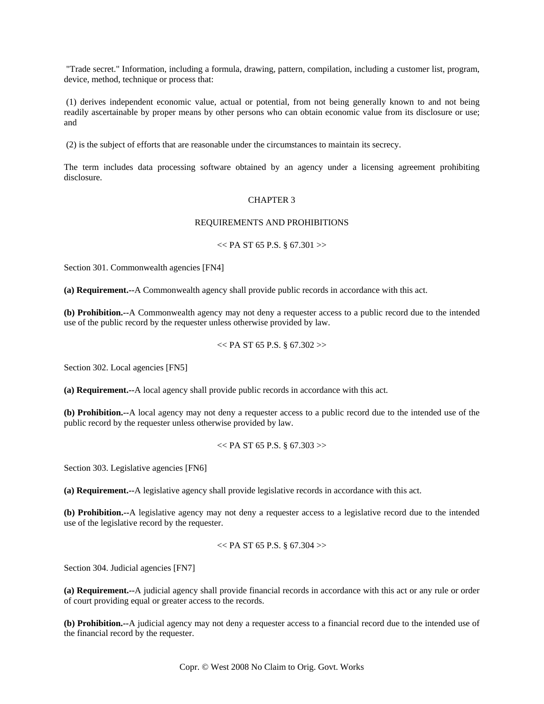"Trade secret." Information, including a formula, drawing, pattern, compilation, including a customer list, program, device, method, technique or process that:

 (1) derives independent economic value, actual or potential, from not being generally known to and not being readily ascertainable by proper means by other persons who can obtain economic value from its disclosure or use; and

(2) is the subject of efforts that are reasonable under the circumstances to maintain its secrecy.

The term includes data processing software obtained by an agency under a licensing agreement prohibiting disclosure.

### CHAPTER 3

# REQUIREMENTS AND PROHIBITIONS

# $<<$  PA ST 65 P.S. § 67.301 >>

Section 301. Commonwealth agencies [FN4]

**(a) Requirement.--**A Commonwealth agency shall provide public records in accordance with this act.

**(b) Prohibition.--**A Commonwealth agency may not deny a requester access to a public record due to the intended use of the public record by the requester unless otherwise provided by law.

### $<<$  PA ST 65 P.S. § 67.302 $>>$

Section 302. Local agencies [FN5]

**(a) Requirement.--**A local agency shall provide public records in accordance with this act.

**(b) Prohibition.--**A local agency may not deny a requester access to a public record due to the intended use of the public record by the requester unless otherwise provided by law.

 $<<$  PA ST 65 P.S. § 67.303 $>>$ 

Section 303. Legislative agencies [FN6]

**(a) Requirement.--**A legislative agency shall provide legislative records in accordance with this act.

**(b) Prohibition.--**A legislative agency may not deny a requester access to a legislative record due to the intended use of the legislative record by the requester.

$$
<< PA ST 65 P.S. \S 67.304 >>
$$

Section 304. Judicial agencies [FN7]

**(a) Requirement.--**A judicial agency shall provide financial records in accordance with this act or any rule or order of court providing equal or greater access to the records.

**(b) Prohibition.--**A judicial agency may not deny a requester access to a financial record due to the intended use of the financial record by the requester.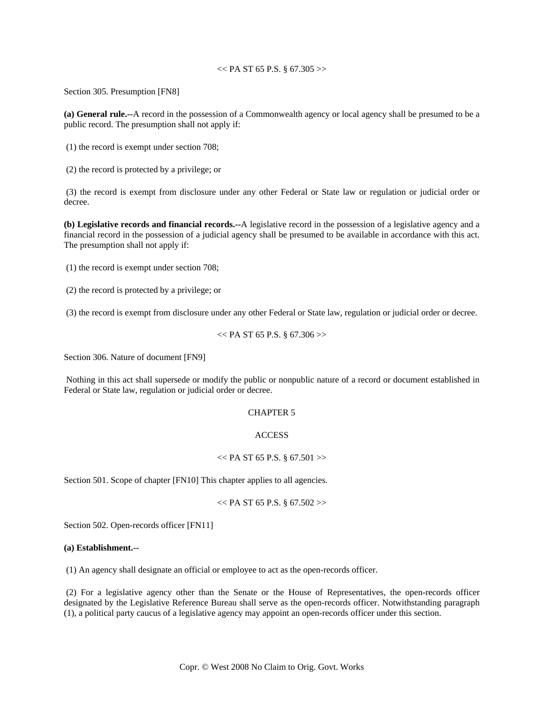# $<<$  PA ST 65 P.S. § 67.305 >>

Section 305. Presumption [FN8]

**(a) General rule.--**A record in the possession of a Commonwealth agency or local agency shall be presumed to be a public record. The presumption shall not apply if:

(1) the record is exempt under section 708;

(2) the record is protected by a privilege; or

 (3) the record is exempt from disclosure under any other Federal or State law or regulation or judicial order or decree.

**(b) Legislative records and financial records.--**A legislative record in the possession of a legislative agency and a financial record in the possession of a judicial agency shall be presumed to be available in accordance with this act. The presumption shall not apply if:

(1) the record is exempt under section 708;

(2) the record is protected by a privilege; or

(3) the record is exempt from disclosure under any other Federal or State law, regulation or judicial order or decree.

$$
\ll P A ST 65 P.S. \S 67.306 >
$$

Section 306. Nature of document [FN9]

 Nothing in this act shall supersede or modify the public or nonpublic nature of a record or document established in Federal or State law, regulation or judicial order or decree.

### CHAPTER 5

# **ACCESS**

#### $<<$  PA ST 65 P.S. § 67.501 >>

Section 501. Scope of chapter [FN10] This chapter applies to all agencies.

$$
<
$$
 P A ST 65 P.S. § 67.502  $>$ 

Section 502. Open-records officer [FN11]

# **(a) Establishment.--**

(1) An agency shall designate an official or employee to act as the open-records officer.

 (2) For a legislative agency other than the Senate or the House of Representatives, the open-records officer designated by the Legislative Reference Bureau shall serve as the open-records officer. Notwithstanding paragraph (1), a political party caucus of a legislative agency may appoint an open-records officer under this section.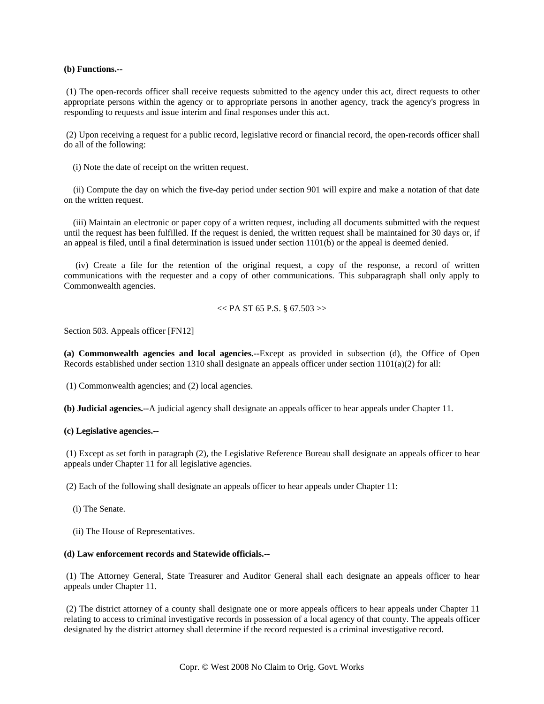# **(b) Functions.--**

 (1) The open-records officer shall receive requests submitted to the agency under this act, direct requests to other appropriate persons within the agency or to appropriate persons in another agency, track the agency's progress in responding to requests and issue interim and final responses under this act.

 (2) Upon receiving a request for a public record, legislative record or financial record, the open-records officer shall do all of the following:

(i) Note the date of receipt on the written request.

 (ii) Compute the day on which the five-day period under section 901 will expire and make a notation of that date on the written request.

 (iii) Maintain an electronic or paper copy of a written request, including all documents submitted with the request until the request has been fulfilled. If the request is denied, the written request shall be maintained for 30 days or, if an appeal is filed, until a final determination is issued under section 1101(b) or the appeal is deemed denied.

 (iv) Create a file for the retention of the original request, a copy of the response, a record of written communications with the requester and a copy of other communications. This subparagraph shall only apply to Commonwealth agencies.

$$
<< PA ST 65 P.S. \S 67.503 >>
$$

Section 503. Appeals officer [FN12]

**(a) Commonwealth agencies and local agencies.--**Except as provided in subsection (d), the Office of Open Records established under section 1310 shall designate an appeals officer under section 1101(a)(2) for all:

(1) Commonwealth agencies; and (2) local agencies.

**(b) Judicial agencies.--**A judicial agency shall designate an appeals officer to hear appeals under Chapter 11.

#### **(c) Legislative agencies.--**

 (1) Except as set forth in paragraph (2), the Legislative Reference Bureau shall designate an appeals officer to hear appeals under Chapter 11 for all legislative agencies.

(2) Each of the following shall designate an appeals officer to hear appeals under Chapter 11:

- (i) The Senate.
- (ii) The House of Representatives.

#### **(d) Law enforcement records and Statewide officials.--**

 (1) The Attorney General, State Treasurer and Auditor General shall each designate an appeals officer to hear appeals under Chapter 11.

 (2) The district attorney of a county shall designate one or more appeals officers to hear appeals under Chapter 11 relating to access to criminal investigative records in possession of a local agency of that county. The appeals officer designated by the district attorney shall determine if the record requested is a criminal investigative record.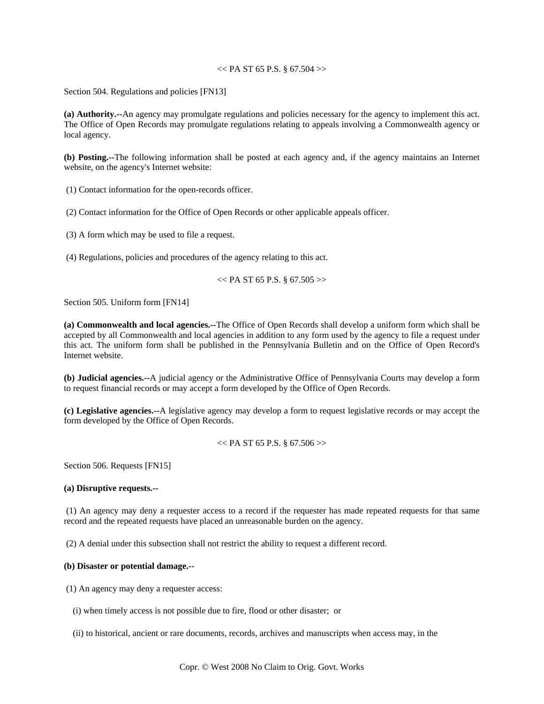# $<<$  PA ST 65 P.S. § 67.504 >>

Section 504. Regulations and policies [FN13]

**(a) Authority.--**An agency may promulgate regulations and policies necessary for the agency to implement this act. The Office of Open Records may promulgate regulations relating to appeals involving a Commonwealth agency or local agency.

**(b) Posting.--**The following information shall be posted at each agency and, if the agency maintains an Internet website, on the agency's Internet website:

(1) Contact information for the open-records officer.

(2) Contact information for the Office of Open Records or other applicable appeals officer.

(3) A form which may be used to file a request.

(4) Regulations, policies and procedures of the agency relating to this act.

```
<< PA ST 65 P.S. § 67.505 >>
```
Section 505. Uniform form [FN14]

**(a) Commonwealth and local agencies.--**The Office of Open Records shall develop a uniform form which shall be accepted by all Commonwealth and local agencies in addition to any form used by the agency to file a request under this act. The uniform form shall be published in the Pennsylvania Bulletin and on the Office of Open Record's Internet website.

**(b) Judicial agencies.--**A judicial agency or the Administrative Office of Pennsylvania Courts may develop a form to request financial records or may accept a form developed by the Office of Open Records.

**(c) Legislative agencies.--**A legislative agency may develop a form to request legislative records or may accept the form developed by the Office of Open Records.

 $<<$  PA ST 65 P.S. § 67.506 $>>$ 

Section 506. Requests [FN15]

# **(a) Disruptive requests.--**

 (1) An agency may deny a requester access to a record if the requester has made repeated requests for that same record and the repeated requests have placed an unreasonable burden on the agency.

(2) A denial under this subsection shall not restrict the ability to request a different record.

### **(b) Disaster or potential damage.--**

(1) An agency may deny a requester access:

(i) when timely access is not possible due to fire, flood or other disaster; or

(ii) to historical, ancient or rare documents, records, archives and manuscripts when access may, in the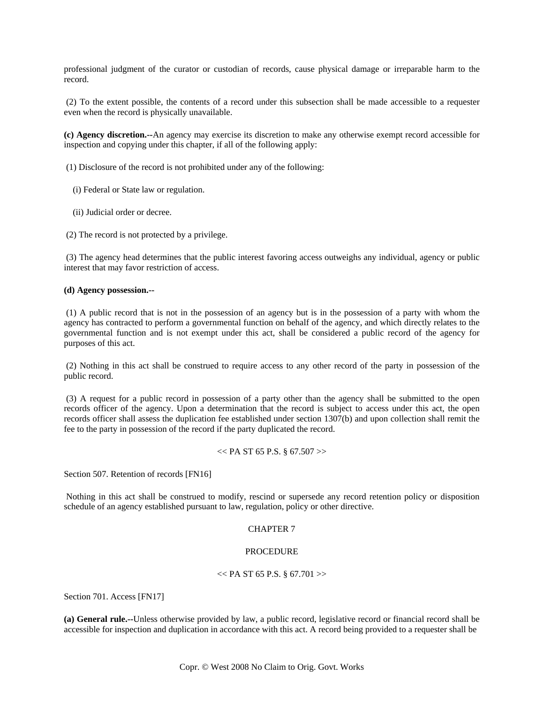professional judgment of the curator or custodian of records, cause physical damage or irreparable harm to the record.

 (2) To the extent possible, the contents of a record under this subsection shall be made accessible to a requester even when the record is physically unavailable.

**(c) Agency discretion.--**An agency may exercise its discretion to make any otherwise exempt record accessible for inspection and copying under this chapter, if all of the following apply:

(1) Disclosure of the record is not prohibited under any of the following:

- (i) Federal or State law or regulation.
- (ii) Judicial order or decree.

(2) The record is not protected by a privilege.

 (3) The agency head determines that the public interest favoring access outweighs any individual, agency or public interest that may favor restriction of access.

### **(d) Agency possession.--**

 (1) A public record that is not in the possession of an agency but is in the possession of a party with whom the agency has contracted to perform a governmental function on behalf of the agency, and which directly relates to the governmental function and is not exempt under this act, shall be considered a public record of the agency for purposes of this act.

 (2) Nothing in this act shall be construed to require access to any other record of the party in possession of the public record.

 (3) A request for a public record in possession of a party other than the agency shall be submitted to the open records officer of the agency. Upon a determination that the record is subject to access under this act, the open records officer shall assess the duplication fee established under section 1307(b) and upon collection shall remit the fee to the party in possession of the record if the party duplicated the record.

 $<<$  PA ST 65 P.S. § 67.507 >>

Section 507. Retention of records [FN16]

 Nothing in this act shall be construed to modify, rescind or supersede any record retention policy or disposition schedule of an agency established pursuant to law, regulation, policy or other directive.

# CHAPTER 7

# PROCEDURE

### $<<$  PA ST 65 P.S. § 67.701 >>

Section 701. Access [FN17]

**(a) General rule.--**Unless otherwise provided by law, a public record, legislative record or financial record shall be accessible for inspection and duplication in accordance with this act. A record being provided to a requester shall be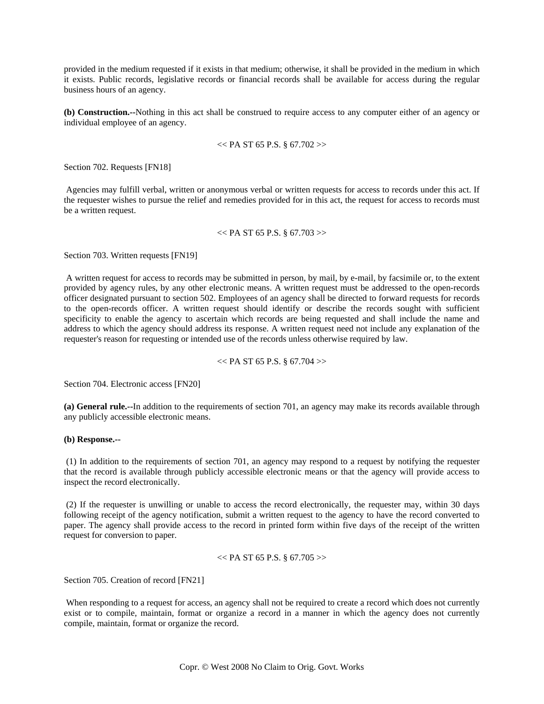provided in the medium requested if it exists in that medium; otherwise, it shall be provided in the medium in which it exists. Public records, legislative records or financial records shall be available for access during the regular business hours of an agency.

**(b) Construction.--**Nothing in this act shall be construed to require access to any computer either of an agency or individual employee of an agency.

#### $<<$  PA ST 65 P.S. § 67.702 $>>$

Section 702. Requests [FN18]

 Agencies may fulfill verbal, written or anonymous verbal or written requests for access to records under this act. If the requester wishes to pursue the relief and remedies provided for in this act, the request for access to records must be a written request.

#### $<<$  PA ST 65 P.S. § 67.703 $>>$

Section 703. Written requests [FN19]

 A written request for access to records may be submitted in person, by mail, by e-mail, by facsimile or, to the extent provided by agency rules, by any other electronic means. A written request must be addressed to the open-records officer designated pursuant to section 502. Employees of an agency shall be directed to forward requests for records to the open-records officer. A written request should identify or describe the records sought with sufficient specificity to enable the agency to ascertain which records are being requested and shall include the name and address to which the agency should address its response. A written request need not include any explanation of the requester's reason for requesting or intended use of the records unless otherwise required by law.

 $<<$  PA ST 65 P.S. § 67.704 $>>$ 

Section 704. Electronic access [FN20]

**(a) General rule.--**In addition to the requirements of section 701, an agency may make its records available through any publicly accessible electronic means.

## **(b) Response.--**

 (1) In addition to the requirements of section 701, an agency may respond to a request by notifying the requester that the record is available through publicly accessible electronic means or that the agency will provide access to inspect the record electronically.

 (2) If the requester is unwilling or unable to access the record electronically, the requester may, within 30 days following receipt of the agency notification, submit a written request to the agency to have the record converted to paper. The agency shall provide access to the record in printed form within five days of the receipt of the written request for conversion to paper.

```
<< PA ST 65 P.S. § 67.705 >>
```
Section 705. Creation of record [FN21]

 When responding to a request for access, an agency shall not be required to create a record which does not currently exist or to compile, maintain, format or organize a record in a manner in which the agency does not currently compile, maintain, format or organize the record.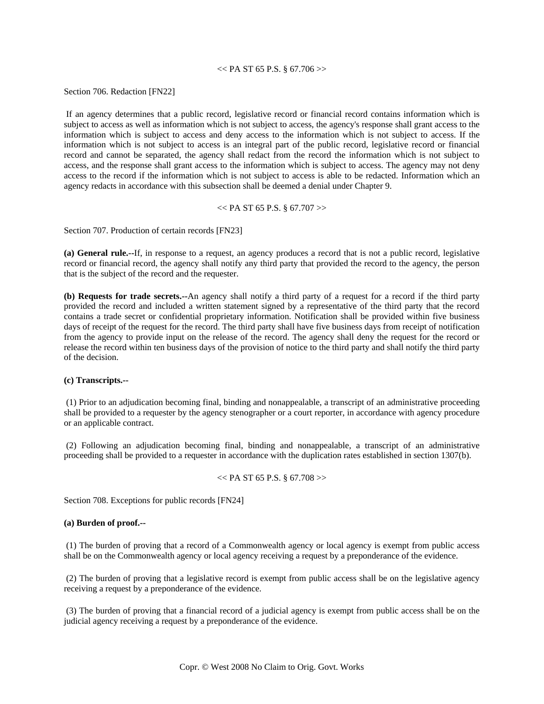# $<<$  PA ST 65 P.S. § 67.706 >>

Section 706. Redaction [FN22]

 If an agency determines that a public record, legislative record or financial record contains information which is subject to access as well as information which is not subject to access, the agency's response shall grant access to the information which is subject to access and deny access to the information which is not subject to access. If the information which is not subject to access is an integral part of the public record, legislative record or financial record and cannot be separated, the agency shall redact from the record the information which is not subject to access, and the response shall grant access to the information which is subject to access. The agency may not deny access to the record if the information which is not subject to access is able to be redacted. Information which an agency redacts in accordance with this subsection shall be deemed a denial under Chapter 9.

 $<<$  PA ST 65 P.S. § 67.707 $>>$ 

Section 707. Production of certain records [FN23]

**(a) General rule.--**If, in response to a request, an agency produces a record that is not a public record, legislative record or financial record, the agency shall notify any third party that provided the record to the agency, the person that is the subject of the record and the requester.

**(b) Requests for trade secrets.--**An agency shall notify a third party of a request for a record if the third party provided the record and included a written statement signed by a representative of the third party that the record contains a trade secret or confidential proprietary information. Notification shall be provided within five business days of receipt of the request for the record. The third party shall have five business days from receipt of notification from the agency to provide input on the release of the record. The agency shall deny the request for the record or release the record within ten business days of the provision of notice to the third party and shall notify the third party of the decision.

### **(c) Transcripts.--**

 (1) Prior to an adjudication becoming final, binding and nonappealable, a transcript of an administrative proceeding shall be provided to a requester by the agency stenographer or a court reporter, in accordance with agency procedure or an applicable contract.

 (2) Following an adjudication becoming final, binding and nonappealable, a transcript of an administrative proceeding shall be provided to a requester in accordance with the duplication rates established in section 1307(b).

$$
\ll P A ST 65 P.S. \S 67.708 >
$$

Section 708. Exceptions for public records [FN24]

#### **(a) Burden of proof.--**

 (1) The burden of proving that a record of a Commonwealth agency or local agency is exempt from public access shall be on the Commonwealth agency or local agency receiving a request by a preponderance of the evidence.

 (2) The burden of proving that a legislative record is exempt from public access shall be on the legislative agency receiving a request by a preponderance of the evidence.

 (3) The burden of proving that a financial record of a judicial agency is exempt from public access shall be on the judicial agency receiving a request by a preponderance of the evidence.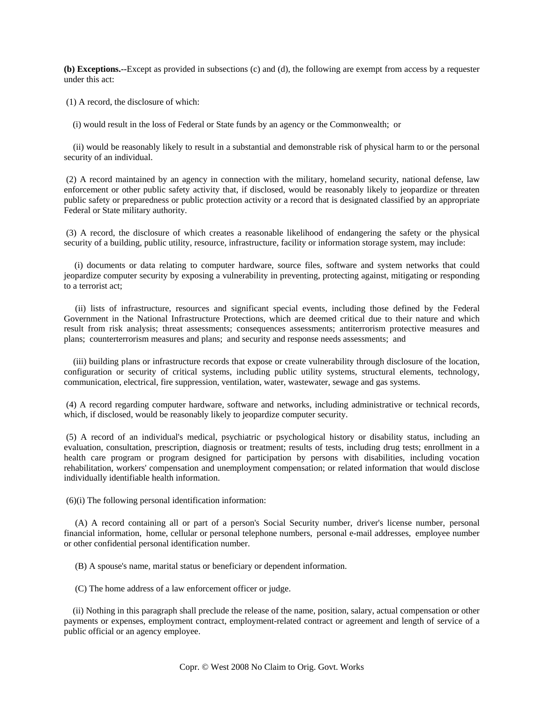**(b) Exceptions.--**Except as provided in subsections (c) and (d), the following are exempt from access by a requester under this act:

(1) A record, the disclosure of which:

(i) would result in the loss of Federal or State funds by an agency or the Commonwealth; or

 (ii) would be reasonably likely to result in a substantial and demonstrable risk of physical harm to or the personal security of an individual.

 (2) A record maintained by an agency in connection with the military, homeland security, national defense, law enforcement or other public safety activity that, if disclosed, would be reasonably likely to jeopardize or threaten public safety or preparedness or public protection activity or a record that is designated classified by an appropriate Federal or State military authority.

 (3) A record, the disclosure of which creates a reasonable likelihood of endangering the safety or the physical security of a building, public utility, resource, infrastructure, facility or information storage system, may include:

 (i) documents or data relating to computer hardware, source files, software and system networks that could jeopardize computer security by exposing a vulnerability in preventing, protecting against, mitigating or responding to a terrorist act;

 (ii) lists of infrastructure, resources and significant special events, including those defined by the Federal Government in the National Infrastructure Protections, which are deemed critical due to their nature and which result from risk analysis; threat assessments; consequences assessments; antiterrorism protective measures and plans; counterterrorism measures and plans; and security and response needs assessments; and

 (iii) building plans or infrastructure records that expose or create vulnerability through disclosure of the location, configuration or security of critical systems, including public utility systems, structural elements, technology, communication, electrical, fire suppression, ventilation, water, wastewater, sewage and gas systems.

 (4) A record regarding computer hardware, software and networks, including administrative or technical records, which, if disclosed, would be reasonably likely to jeopardize computer security.

 (5) A record of an individual's medical, psychiatric or psychological history or disability status, including an evaluation, consultation, prescription, diagnosis or treatment; results of tests, including drug tests; enrollment in a health care program or program designed for participation by persons with disabilities, including vocation rehabilitation, workers' compensation and unemployment compensation; or related information that would disclose individually identifiable health information.

(6)(i) The following personal identification information:

 (A) A record containing all or part of a person's Social Security number, driver's license number, personal financial information, home, cellular or personal telephone numbers, personal e-mail addresses, employee number or other confidential personal identification number.

(B) A spouse's name, marital status or beneficiary or dependent information.

(C) The home address of a law enforcement officer or judge.

 (ii) Nothing in this paragraph shall preclude the release of the name, position, salary, actual compensation or other payments or expenses, employment contract, employment-related contract or agreement and length of service of a public official or an agency employee.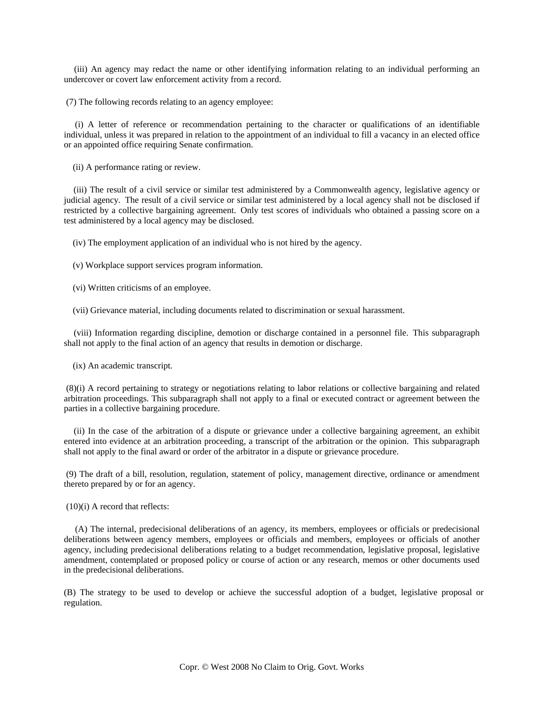(iii) An agency may redact the name or other identifying information relating to an individual performing an undercover or covert law enforcement activity from a record.

(7) The following records relating to an agency employee:

 (i) A letter of reference or recommendation pertaining to the character or qualifications of an identifiable individual, unless it was prepared in relation to the appointment of an individual to fill a vacancy in an elected office or an appointed office requiring Senate confirmation.

(ii) A performance rating or review.

 (iii) The result of a civil service or similar test administered by a Commonwealth agency, legislative agency or judicial agency. The result of a civil service or similar test administered by a local agency shall not be disclosed if restricted by a collective bargaining agreement. Only test scores of individuals who obtained a passing score on a test administered by a local agency may be disclosed.

(iv) The employment application of an individual who is not hired by the agency.

(v) Workplace support services program information.

(vi) Written criticisms of an employee.

(vii) Grievance material, including documents related to discrimination or sexual harassment.

 (viii) Information regarding discipline, demotion or discharge contained in a personnel file. This subparagraph shall not apply to the final action of an agency that results in demotion or discharge.

(ix) An academic transcript.

 (8)(i) A record pertaining to strategy or negotiations relating to labor relations or collective bargaining and related arbitration proceedings. This subparagraph shall not apply to a final or executed contract or agreement between the parties in a collective bargaining procedure.

 (ii) In the case of the arbitration of a dispute or grievance under a collective bargaining agreement, an exhibit entered into evidence at an arbitration proceeding, a transcript of the arbitration or the opinion. This subparagraph shall not apply to the final award or order of the arbitrator in a dispute or grievance procedure.

 (9) The draft of a bill, resolution, regulation, statement of policy, management directive, ordinance or amendment thereto prepared by or for an agency.

(10)(i) A record that reflects:

 (A) The internal, predecisional deliberations of an agency, its members, employees or officials or predecisional deliberations between agency members, employees or officials and members, employees or officials of another agency, including predecisional deliberations relating to a budget recommendation, legislative proposal, legislative amendment, contemplated or proposed policy or course of action or any research, memos or other documents used in the predecisional deliberations.

(B) The strategy to be used to develop or achieve the successful adoption of a budget, legislative proposal or regulation.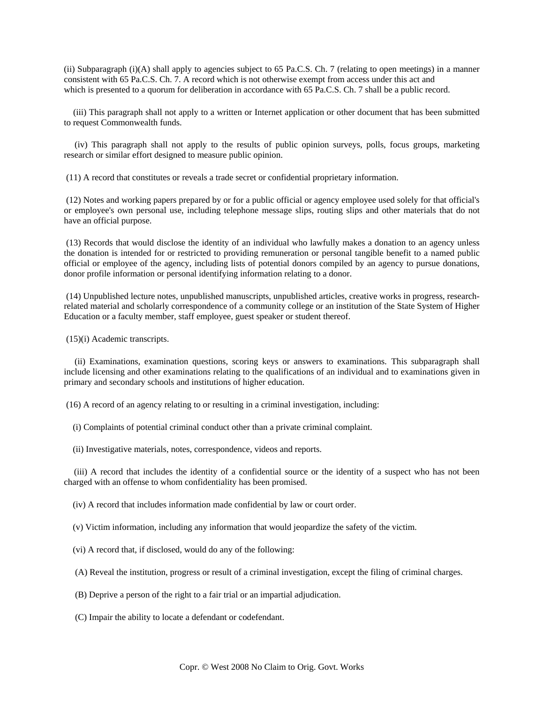(ii) Subparagraph (i)(A) shall apply to agencies subject to 65 Pa.C.S. Ch. 7 (relating to open meetings) in a manner consistent with 65 Pa.C.S. Ch. 7. A record which is not otherwise exempt from access under this act and which is presented to a quorum for deliberation in accordance with 65 Pa.C.S. Ch. 7 shall be a public record.

 (iii) This paragraph shall not apply to a written or Internet application or other document that has been submitted to request Commonwealth funds.

 (iv) This paragraph shall not apply to the results of public opinion surveys, polls, focus groups, marketing research or similar effort designed to measure public opinion.

(11) A record that constitutes or reveals a trade secret or confidential proprietary information.

 (12) Notes and working papers prepared by or for a public official or agency employee used solely for that official's or employee's own personal use, including telephone message slips, routing slips and other materials that do not have an official purpose.

 (13) Records that would disclose the identity of an individual who lawfully makes a donation to an agency unless the donation is intended for or restricted to providing remuneration or personal tangible benefit to a named public official or employee of the agency, including lists of potential donors compiled by an agency to pursue donations, donor profile information or personal identifying information relating to a donor.

 (14) Unpublished lecture notes, unpublished manuscripts, unpublished articles, creative works in progress, researchrelated material and scholarly correspondence of a community college or an institution of the State System of Higher Education or a faculty member, staff employee, guest speaker or student thereof.

(15)(i) Academic transcripts.

 (ii) Examinations, examination questions, scoring keys or answers to examinations. This subparagraph shall include licensing and other examinations relating to the qualifications of an individual and to examinations given in primary and secondary schools and institutions of higher education.

(16) A record of an agency relating to or resulting in a criminal investigation, including:

(i) Complaints of potential criminal conduct other than a private criminal complaint.

(ii) Investigative materials, notes, correspondence, videos and reports.

 (iii) A record that includes the identity of a confidential source or the identity of a suspect who has not been charged with an offense to whom confidentiality has been promised.

(iv) A record that includes information made confidential by law or court order.

(v) Victim information, including any information that would jeopardize the safety of the victim.

- (vi) A record that, if disclosed, would do any of the following:
- (A) Reveal the institution, progress or result of a criminal investigation, except the filing of criminal charges.
- (B) Deprive a person of the right to a fair trial or an impartial adjudication.
- (C) Impair the ability to locate a defendant or codefendant.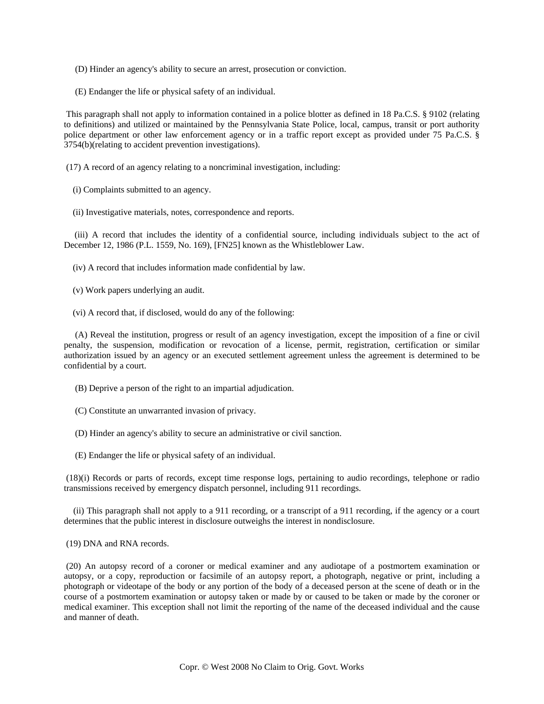- (D) Hinder an agency's ability to secure an arrest, prosecution or conviction.
- (E) Endanger the life or physical safety of an individual.

 This paragraph shall not apply to information contained in a police blotter as defined in 18 Pa.C.S. § 9102 (relating to definitions) and utilized or maintained by the Pennsylvania State Police, local, campus, transit or port authority police department or other law enforcement agency or in a traffic report except as provided under 75 Pa.C.S. § 3754(b)(relating to accident prevention investigations).

(17) A record of an agency relating to a noncriminal investigation, including:

- (i) Complaints submitted to an agency.
- (ii) Investigative materials, notes, correspondence and reports.

 (iii) A record that includes the identity of a confidential source, including individuals subject to the act of December 12, 1986 (P.L. 1559, No. 169), [FN25] known as the Whistleblower Law.

(iv) A record that includes information made confidential by law.

- (v) Work papers underlying an audit.
- (vi) A record that, if disclosed, would do any of the following:

 (A) Reveal the institution, progress or result of an agency investigation, except the imposition of a fine or civil penalty, the suspension, modification or revocation of a license, permit, registration, certification or similar authorization issued by an agency or an executed settlement agreement unless the agreement is determined to be confidential by a court.

- (B) Deprive a person of the right to an impartial adjudication.
- (C) Constitute an unwarranted invasion of privacy.
- (D) Hinder an agency's ability to secure an administrative or civil sanction.
- (E) Endanger the life or physical safety of an individual.

 (18)(i) Records or parts of records, except time response logs, pertaining to audio recordings, telephone or radio transmissions received by emergency dispatch personnel, including 911 recordings.

 (ii) This paragraph shall not apply to a 911 recording, or a transcript of a 911 recording, if the agency or a court determines that the public interest in disclosure outweighs the interest in nondisclosure.

(19) DNA and RNA records.

 (20) An autopsy record of a coroner or medical examiner and any audiotape of a postmortem examination or autopsy, or a copy, reproduction or facsimile of an autopsy report, a photograph, negative or print, including a photograph or videotape of the body or any portion of the body of a deceased person at the scene of death or in the course of a postmortem examination or autopsy taken or made by or caused to be taken or made by the coroner or medical examiner. This exception shall not limit the reporting of the name of the deceased individual and the cause and manner of death.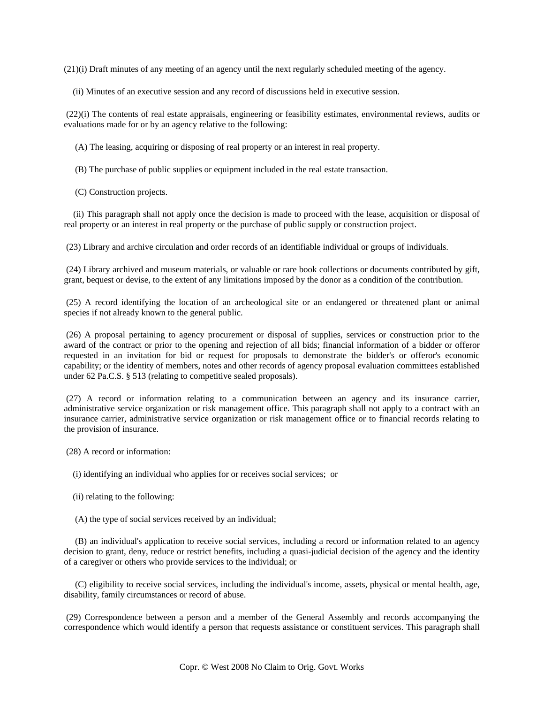(21)(i) Draft minutes of any meeting of an agency until the next regularly scheduled meeting of the agency.

(ii) Minutes of an executive session and any record of discussions held in executive session.

 (22)(i) The contents of real estate appraisals, engineering or feasibility estimates, environmental reviews, audits or evaluations made for or by an agency relative to the following:

(A) The leasing, acquiring or disposing of real property or an interest in real property.

(B) The purchase of public supplies or equipment included in the real estate transaction.

(C) Construction projects.

 (ii) This paragraph shall not apply once the decision is made to proceed with the lease, acquisition or disposal of real property or an interest in real property or the purchase of public supply or construction project.

(23) Library and archive circulation and order records of an identifiable individual or groups of individuals.

 (24) Library archived and museum materials, or valuable or rare book collections or documents contributed by gift, grant, bequest or devise, to the extent of any limitations imposed by the donor as a condition of the contribution.

 (25) A record identifying the location of an archeological site or an endangered or threatened plant or animal species if not already known to the general public.

 (26) A proposal pertaining to agency procurement or disposal of supplies, services or construction prior to the award of the contract or prior to the opening and rejection of all bids; financial information of a bidder or offeror requested in an invitation for bid or request for proposals to demonstrate the bidder's or offeror's economic capability; or the identity of members, notes and other records of agency proposal evaluation committees established under 62 Pa.C.S. § 513 (relating to competitive sealed proposals).

 (27) A record or information relating to a communication between an agency and its insurance carrier, administrative service organization or risk management office. This paragraph shall not apply to a contract with an insurance carrier, administrative service organization or risk management office or to financial records relating to the provision of insurance.

(28) A record or information:

(i) identifying an individual who applies for or receives social services; or

(ii) relating to the following:

(A) the type of social services received by an individual;

 (B) an individual's application to receive social services, including a record or information related to an agency decision to grant, deny, reduce or restrict benefits, including a quasi-judicial decision of the agency and the identity of a caregiver or others who provide services to the individual; or

 (C) eligibility to receive social services, including the individual's income, assets, physical or mental health, age, disability, family circumstances or record of abuse.

 (29) Correspondence between a person and a member of the General Assembly and records accompanying the correspondence which would identify a person that requests assistance or constituent services. This paragraph shall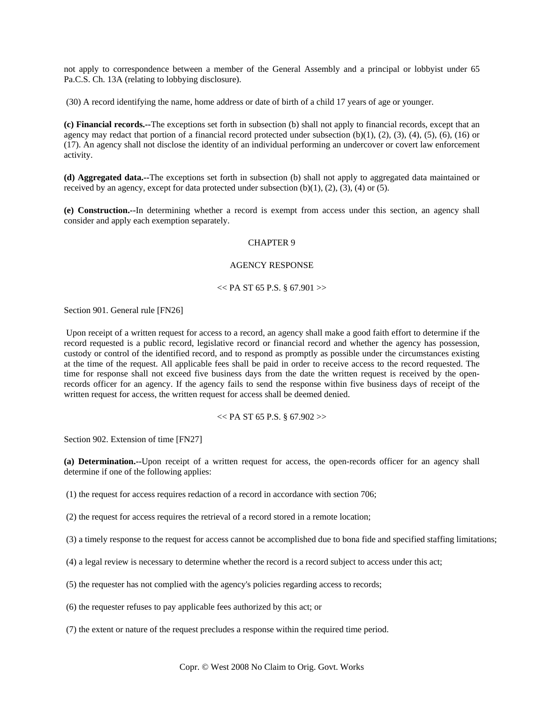not apply to correspondence between a member of the General Assembly and a principal or lobbyist under 65 Pa.C.S. Ch. 13A (relating to lobbying disclosure).

(30) A record identifying the name, home address or date of birth of a child 17 years of age or younger.

**(c) Financial records.--**The exceptions set forth in subsection (b) shall not apply to financial records, except that an agency may redact that portion of a financial record protected under subsection  $(b)(1)$ ,  $(2)$ ,  $(3)$ ,  $(4)$ ,  $(5)$ ,  $(6)$ ,  $(16)$  or (17). An agency shall not disclose the identity of an individual performing an undercover or covert law enforcement activity.

**(d) Aggregated data.--**The exceptions set forth in subsection (b) shall not apply to aggregated data maintained or received by an agency, except for data protected under subsection  $(b)(1)$ ,  $(2)$ ,  $(3)$ ,  $(4)$  or  $(5)$ .

**(e) Construction.--**In determining whether a record is exempt from access under this section, an agency shall consider and apply each exemption separately.

### CHAPTER 9

### AGENCY RESPONSE

 $<<$  PA ST 65 P.S. § 67.901 >>

Section 901. General rule [FN26]

 Upon receipt of a written request for access to a record, an agency shall make a good faith effort to determine if the record requested is a public record, legislative record or financial record and whether the agency has possession, custody or control of the identified record, and to respond as promptly as possible under the circumstances existing at the time of the request. All applicable fees shall be paid in order to receive access to the record requested. The time for response shall not exceed five business days from the date the written request is received by the openrecords officer for an agency. If the agency fails to send the response within five business days of receipt of the written request for access, the written request for access shall be deemed denied.

#### $<<$  PA ST 65 P.S. § 67.902 $>>$

Section 902. Extension of time [FN27]

**(a) Determination.--**Upon receipt of a written request for access, the open-records officer for an agency shall determine if one of the following applies:

(1) the request for access requires redaction of a record in accordance with section 706;

(2) the request for access requires the retrieval of a record stored in a remote location;

(3) a timely response to the request for access cannot be accomplished due to bona fide and specified staffing limitations;

(4) a legal review is necessary to determine whether the record is a record subject to access under this act;

(5) the requester has not complied with the agency's policies regarding access to records;

(6) the requester refuses to pay applicable fees authorized by this act; or

(7) the extent or nature of the request precludes a response within the required time period.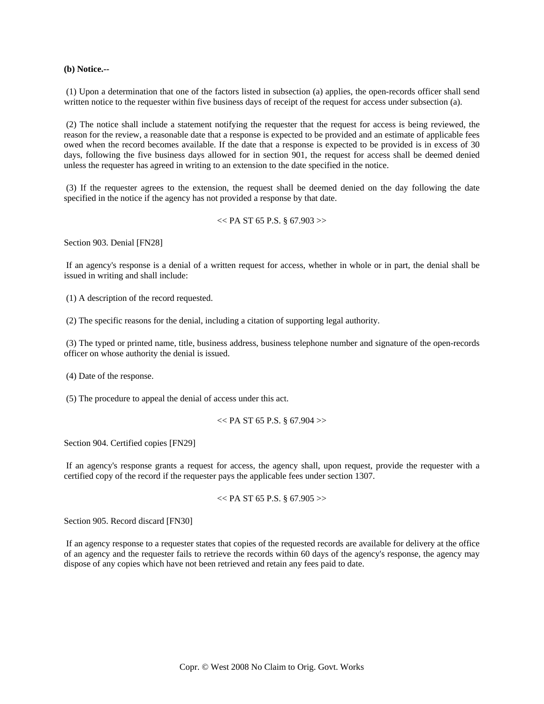**(b) Notice.--**

 (1) Upon a determination that one of the factors listed in subsection (a) applies, the open-records officer shall send written notice to the requester within five business days of receipt of the request for access under subsection (a).

 (2) The notice shall include a statement notifying the requester that the request for access is being reviewed, the reason for the review, a reasonable date that a response is expected to be provided and an estimate of applicable fees owed when the record becomes available. If the date that a response is expected to be provided is in excess of 30 days, following the five business days allowed for in section 901, the request for access shall be deemed denied unless the requester has agreed in writing to an extension to the date specified in the notice.

 (3) If the requester agrees to the extension, the request shall be deemed denied on the day following the date specified in the notice if the agency has not provided a response by that date.

```
<< PA ST 65 P.S. § 67.903>>
```
Section 903. Denial [FN28]

 If an agency's response is a denial of a written request for access, whether in whole or in part, the denial shall be issued in writing and shall include:

(1) A description of the record requested.

(2) The specific reasons for the denial, including a citation of supporting legal authority.

 (3) The typed or printed name, title, business address, business telephone number and signature of the open-records officer on whose authority the denial is issued.

(4) Date of the response.

(5) The procedure to appeal the denial of access under this act.

 $<<$  PA ST 65 P.S. § 67.904 $>>$ 

Section 904. Certified copies [FN29]

 If an agency's response grants a request for access, the agency shall, upon request, provide the requester with a certified copy of the record if the requester pays the applicable fees under section 1307.

$$
\ll P A ST 65 P.S. \S 67.905 >
$$

Section 905. Record discard [FN30]

 If an agency response to a requester states that copies of the requested records are available for delivery at the office of an agency and the requester fails to retrieve the records within 60 days of the agency's response, the agency may dispose of any copies which have not been retrieved and retain any fees paid to date.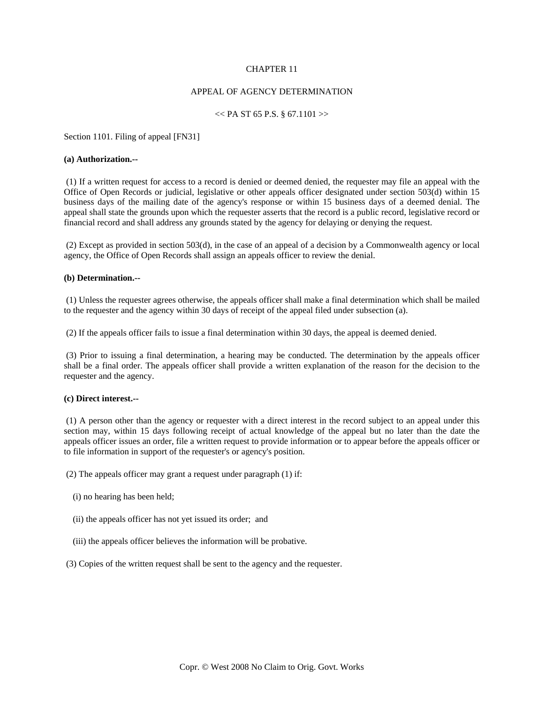# CHAPTER 11

### APPEAL OF AGENCY DETERMINATION

### $<<$  PA ST 65 P.S. § 67.1101 >>

Section 1101. Filing of appeal [FN31]

#### **(a) Authorization.--**

 (1) If a written request for access to a record is denied or deemed denied, the requester may file an appeal with the Office of Open Records or judicial, legislative or other appeals officer designated under section 503(d) within 15 business days of the mailing date of the agency's response or within 15 business days of a deemed denial. The appeal shall state the grounds upon which the requester asserts that the record is a public record, legislative record or financial record and shall address any grounds stated by the agency for delaying or denying the request.

 (2) Except as provided in section 503(d), in the case of an appeal of a decision by a Commonwealth agency or local agency, the Office of Open Records shall assign an appeals officer to review the denial.

# **(b) Determination.--**

 (1) Unless the requester agrees otherwise, the appeals officer shall make a final determination which shall be mailed to the requester and the agency within 30 days of receipt of the appeal filed under subsection (a).

(2) If the appeals officer fails to issue a final determination within 30 days, the appeal is deemed denied.

 (3) Prior to issuing a final determination, a hearing may be conducted. The determination by the appeals officer shall be a final order. The appeals officer shall provide a written explanation of the reason for the decision to the requester and the agency.

### **(c) Direct interest.--**

 (1) A person other than the agency or requester with a direct interest in the record subject to an appeal under this section may, within 15 days following receipt of actual knowledge of the appeal but no later than the date the appeals officer issues an order, file a written request to provide information or to appear before the appeals officer or to file information in support of the requester's or agency's position.

(2) The appeals officer may grant a request under paragraph (1) if:

- (i) no hearing has been held;
- (ii) the appeals officer has not yet issued its order; and
- (iii) the appeals officer believes the information will be probative.
- (3) Copies of the written request shall be sent to the agency and the requester.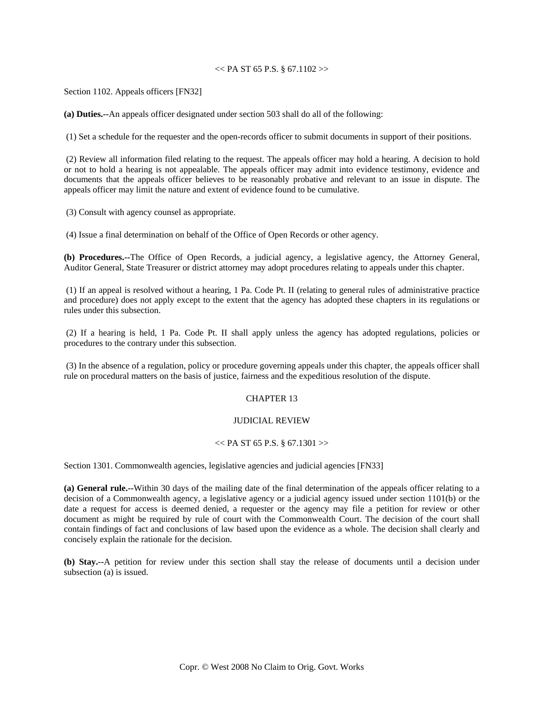# $<<$  PA ST 65 P.S. § 67.1102 >>

Section 1102. Appeals officers [FN32]

**(a) Duties.--**An appeals officer designated under section 503 shall do all of the following:

(1) Set a schedule for the requester and the open-records officer to submit documents in support of their positions.

 (2) Review all information filed relating to the request. The appeals officer may hold a hearing. A decision to hold or not to hold a hearing is not appealable. The appeals officer may admit into evidence testimony, evidence and documents that the appeals officer believes to be reasonably probative and relevant to an issue in dispute. The appeals officer may limit the nature and extent of evidence found to be cumulative.

(3) Consult with agency counsel as appropriate.

(4) Issue a final determination on behalf of the Office of Open Records or other agency.

**(b) Procedures.--**The Office of Open Records, a judicial agency, a legislative agency, the Attorney General, Auditor General, State Treasurer or district attorney may adopt procedures relating to appeals under this chapter.

 (1) If an appeal is resolved without a hearing, 1 Pa. Code Pt. II (relating to general rules of administrative practice and procedure) does not apply except to the extent that the agency has adopted these chapters in its regulations or rules under this subsection.

 (2) If a hearing is held, 1 Pa. Code Pt. II shall apply unless the agency has adopted regulations, policies or procedures to the contrary under this subsection.

 (3) In the absence of a regulation, policy or procedure governing appeals under this chapter, the appeals officer shall rule on procedural matters on the basis of justice, fairness and the expeditious resolution of the dispute.

### CHAPTER 13

# JUDICIAL REVIEW

#### $<<$  PA ST 65 P.S. § 67.1301 >>

Section 1301. Commonwealth agencies, legislative agencies and judicial agencies [FN33]

**(a) General rule.--**Within 30 days of the mailing date of the final determination of the appeals officer relating to a decision of a Commonwealth agency, a legislative agency or a judicial agency issued under section 1101(b) or the date a request for access is deemed denied, a requester or the agency may file a petition for review or other document as might be required by rule of court with the Commonwealth Court. The decision of the court shall contain findings of fact and conclusions of law based upon the evidence as a whole. The decision shall clearly and concisely explain the rationale for the decision.

**(b) Stay.--**A petition for review under this section shall stay the release of documents until a decision under subsection (a) is issued.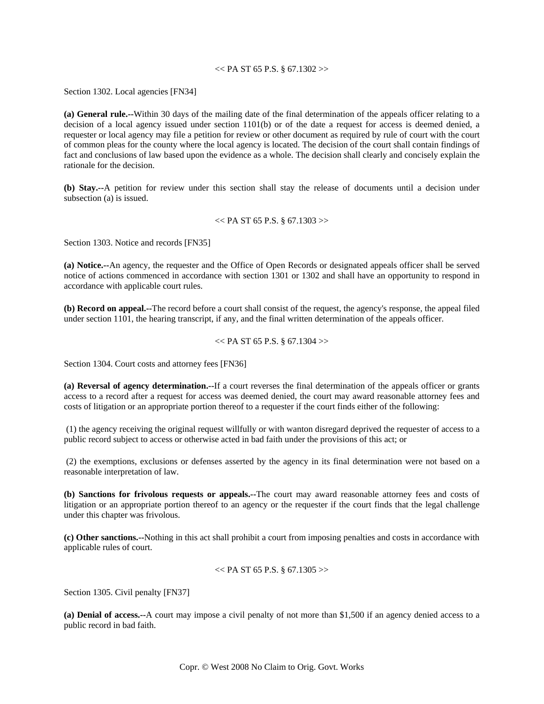# $<<$  PA ST 65 P.S. § 67.1302 >>

Section 1302. Local agencies [FN34]

**(a) General rule.--**Within 30 days of the mailing date of the final determination of the appeals officer relating to a decision of a local agency issued under section 1101(b) or of the date a request for access is deemed denied, a requester or local agency may file a petition for review or other document as required by rule of court with the court of common pleas for the county where the local agency is located. The decision of the court shall contain findings of fact and conclusions of law based upon the evidence as a whole. The decision shall clearly and concisely explain the rationale for the decision.

**(b) Stay.--**A petition for review under this section shall stay the release of documents until a decision under subsection (a) is issued.

#### $<<$  PA ST 65 P.S. § 67.1303 $>>$

Section 1303. Notice and records [FN35]

**(a) Notice.--**An agency, the requester and the Office of Open Records or designated appeals officer shall be served notice of actions commenced in accordance with section 1301 or 1302 and shall have an opportunity to respond in accordance with applicable court rules.

**(b) Record on appeal.--**The record before a court shall consist of the request, the agency's response, the appeal filed under section 1101, the hearing transcript, if any, and the final written determination of the appeals officer.

 $<<$  PA ST 65 P.S. § 67.1304 $>>$ 

Section 1304. Court costs and attorney fees [FN36]

**(a) Reversal of agency determination.--**If a court reverses the final determination of the appeals officer or grants access to a record after a request for access was deemed denied, the court may award reasonable attorney fees and costs of litigation or an appropriate portion thereof to a requester if the court finds either of the following:

 (1) the agency receiving the original request willfully or with wanton disregard deprived the requester of access to a public record subject to access or otherwise acted in bad faith under the provisions of this act; or

 (2) the exemptions, exclusions or defenses asserted by the agency in its final determination were not based on a reasonable interpretation of law.

**(b) Sanctions for frivolous requests or appeals.--**The court may award reasonable attorney fees and costs of litigation or an appropriate portion thereof to an agency or the requester if the court finds that the legal challenge under this chapter was frivolous.

**(c) Other sanctions.--**Nothing in this act shall prohibit a court from imposing penalties and costs in accordance with applicable rules of court.

```
<< PA ST 65 P.S. § 67.1305 >>
```
Section 1305. Civil penalty [FN37]

**(a) Denial of access.--**A court may impose a civil penalty of not more than \$1,500 if an agency denied access to a public record in bad faith.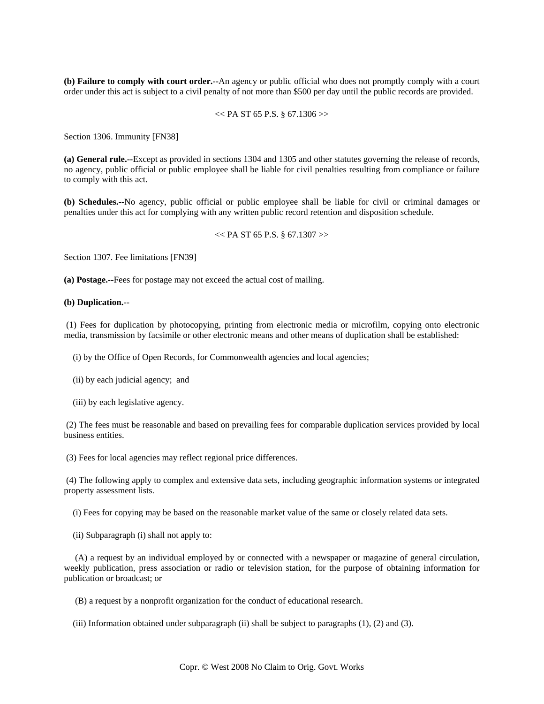**(b) Failure to comply with court order.--**An agency or public official who does not promptly comply with a court order under this act is subject to a civil penalty of not more than \$500 per day until the public records are provided.

$$
\ll
$$
 PA ST 65 P.S. § 67.1306  $\gg$ 

Section 1306. Immunity [FN38]

**(a) General rule.--**Except as provided in sections 1304 and 1305 and other statutes governing the release of records, no agency, public official or public employee shall be liable for civil penalties resulting from compliance or failure to comply with this act.

**(b) Schedules.--**No agency, public official or public employee shall be liable for civil or criminal damages or penalties under this act for complying with any written public record retention and disposition schedule.

#### $<<$  PA ST 65 P.S. § 67.1307 >>

Section 1307. Fee limitations [FN39]

**(a) Postage.--**Fees for postage may not exceed the actual cost of mailing.

#### **(b) Duplication.--**

 (1) Fees for duplication by photocopying, printing from electronic media or microfilm, copying onto electronic media, transmission by facsimile or other electronic means and other means of duplication shall be established:

(i) by the Office of Open Records, for Commonwealth agencies and local agencies;

- (ii) by each judicial agency; and
- (iii) by each legislative agency.

 (2) The fees must be reasonable and based on prevailing fees for comparable duplication services provided by local business entities.

(3) Fees for local agencies may reflect regional price differences.

 (4) The following apply to complex and extensive data sets, including geographic information systems or integrated property assessment lists.

(i) Fees for copying may be based on the reasonable market value of the same or closely related data sets.

(ii) Subparagraph (i) shall not apply to:

 (A) a request by an individual employed by or connected with a newspaper or magazine of general circulation, weekly publication, press association or radio or television station, for the purpose of obtaining information for publication or broadcast; or

(B) a request by a nonprofit organization for the conduct of educational research.

(iii) Information obtained under subparagraph (ii) shall be subject to paragraphs (1), (2) and (3).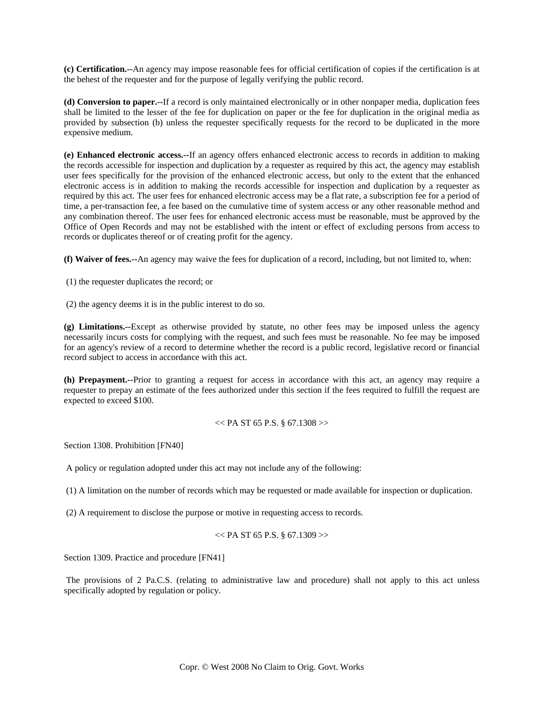**(c) Certification.--**An agency may impose reasonable fees for official certification of copies if the certification is at the behest of the requester and for the purpose of legally verifying the public record.

**(d) Conversion to paper.--**If a record is only maintained electronically or in other nonpaper media, duplication fees shall be limited to the lesser of the fee for duplication on paper or the fee for duplication in the original media as provided by subsection (b) unless the requester specifically requests for the record to be duplicated in the more expensive medium.

**(e) Enhanced electronic access.--**If an agency offers enhanced electronic access to records in addition to making the records accessible for inspection and duplication by a requester as required by this act, the agency may establish user fees specifically for the provision of the enhanced electronic access, but only to the extent that the enhanced electronic access is in addition to making the records accessible for inspection and duplication by a requester as required by this act. The user fees for enhanced electronic access may be a flat rate, a subscription fee for a period of time, a per-transaction fee, a fee based on the cumulative time of system access or any other reasonable method and any combination thereof. The user fees for enhanced electronic access must be reasonable, must be approved by the Office of Open Records and may not be established with the intent or effect of excluding persons from access to records or duplicates thereof or of creating profit for the agency.

**(f) Waiver of fees.--**An agency may waive the fees for duplication of a record, including, but not limited to, when:

(1) the requester duplicates the record; or

(2) the agency deems it is in the public interest to do so.

**(g) Limitations.--**Except as otherwise provided by statute, no other fees may be imposed unless the agency necessarily incurs costs for complying with the request, and such fees must be reasonable. No fee may be imposed for an agency's review of a record to determine whether the record is a public record, legislative record or financial record subject to access in accordance with this act.

**(h) Prepayment.--**Prior to granting a request for access in accordance with this act, an agency may require a requester to prepay an estimate of the fees authorized under this section if the fees required to fulfill the request are expected to exceed \$100.

$$
\ll P A ST 65 P.S. \S 67.1308 >
$$

Section 1308. Prohibition [FN40]

A policy or regulation adopted under this act may not include any of the following:

(1) A limitation on the number of records which may be requested or made available for inspection or duplication.

(2) A requirement to disclose the purpose or motive in requesting access to records.

$$
\ll
$$
 PA ST 65 P.S. § 67.1309  $>$ 

Section 1309. Practice and procedure [FN41]

 The provisions of 2 Pa.C.S. (relating to administrative law and procedure) shall not apply to this act unless specifically adopted by regulation or policy.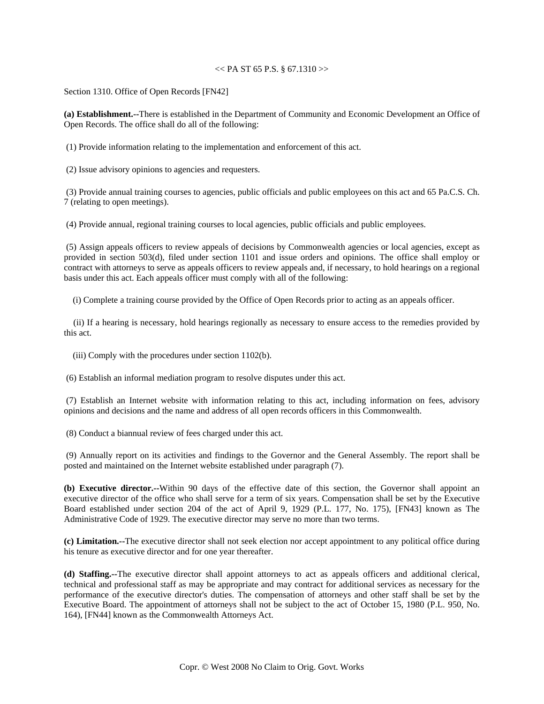# $<<$  PA ST 65 P.S. § 67.1310 >>

Section 1310. Office of Open Records [FN42]

**(a) Establishment.--**There is established in the Department of Community and Economic Development an Office of Open Records. The office shall do all of the following:

(1) Provide information relating to the implementation and enforcement of this act.

(2) Issue advisory opinions to agencies and requesters.

 (3) Provide annual training courses to agencies, public officials and public employees on this act and 65 Pa.C.S. Ch. 7 (relating to open meetings).

(4) Provide annual, regional training courses to local agencies, public officials and public employees.

 (5) Assign appeals officers to review appeals of decisions by Commonwealth agencies or local agencies, except as provided in section 503(d), filed under section 1101 and issue orders and opinions. The office shall employ or contract with attorneys to serve as appeals officers to review appeals and, if necessary, to hold hearings on a regional basis under this act. Each appeals officer must comply with all of the following:

(i) Complete a training course provided by the Office of Open Records prior to acting as an appeals officer.

 (ii) If a hearing is necessary, hold hearings regionally as necessary to ensure access to the remedies provided by this act.

(iii) Comply with the procedures under section 1102(b).

(6) Establish an informal mediation program to resolve disputes under this act.

 (7) Establish an Internet website with information relating to this act, including information on fees, advisory opinions and decisions and the name and address of all open records officers in this Commonwealth.

(8) Conduct a biannual review of fees charged under this act.

 (9) Annually report on its activities and findings to the Governor and the General Assembly. The report shall be posted and maintained on the Internet website established under paragraph (7).

**(b) Executive director.--**Within 90 days of the effective date of this section, the Governor shall appoint an executive director of the office who shall serve for a term of six years. Compensation shall be set by the Executive Board established under section 204 of the act of April 9, 1929 (P.L. 177, No. 175), [FN43] known as The Administrative Code of 1929. The executive director may serve no more than two terms.

**(c) Limitation.--**The executive director shall not seek election nor accept appointment to any political office during his tenure as executive director and for one year thereafter.

**(d) Staffing.--**The executive director shall appoint attorneys to act as appeals officers and additional clerical, technical and professional staff as may be appropriate and may contract for additional services as necessary for the performance of the executive director's duties. The compensation of attorneys and other staff shall be set by the Executive Board. The appointment of attorneys shall not be subject to the act of October 15, 1980 (P.L. 950, No. 164), [FN44] known as the Commonwealth Attorneys Act.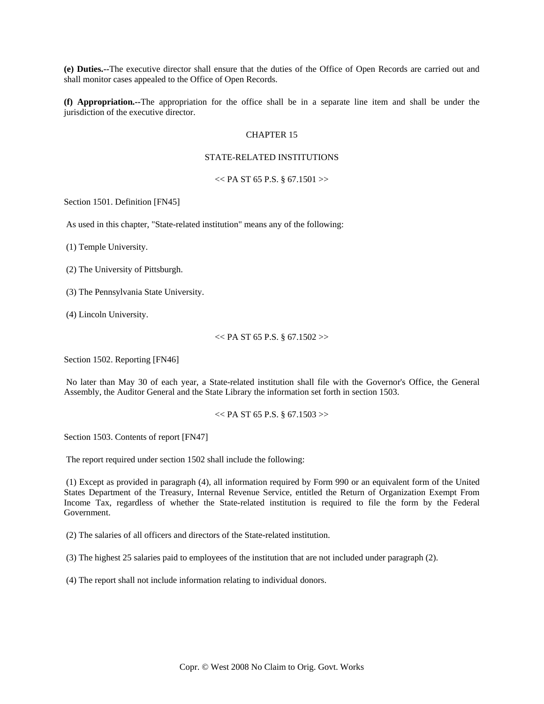**(e) Duties.--**The executive director shall ensure that the duties of the Office of Open Records are carried out and shall monitor cases appealed to the Office of Open Records.

**(f) Appropriation.--**The appropriation for the office shall be in a separate line item and shall be under the jurisdiction of the executive director.

# CHAPTER 15

# STATE-RELATED INSTITUTIONS

 $<<$  PA ST 65 P.S. § 67.1501 >>

Section 1501. Definition [FN45]

As used in this chapter, "State-related institution" means any of the following:

(1) Temple University.

(2) The University of Pittsburgh.

(3) The Pennsylvania State University.

(4) Lincoln University.

 $<<$  PA ST 65 P.S. § 67.1502 >>

Section 1502. Reporting [FN46]

 No later than May 30 of each year, a State-related institution shall file with the Governor's Office, the General Assembly, the Auditor General and the State Library the information set forth in section 1503.

 $<<$  PA ST 65 P.S. § 67.1503 $>>$ 

Section 1503. Contents of report [FN47]

The report required under section 1502 shall include the following:

 (1) Except as provided in paragraph (4), all information required by Form 990 or an equivalent form of the United States Department of the Treasury, Internal Revenue Service, entitled the Return of Organization Exempt From Income Tax, regardless of whether the State-related institution is required to file the form by the Federal Government.

(2) The salaries of all officers and directors of the State-related institution.

(3) The highest 25 salaries paid to employees of the institution that are not included under paragraph (2).

(4) The report shall not include information relating to individual donors.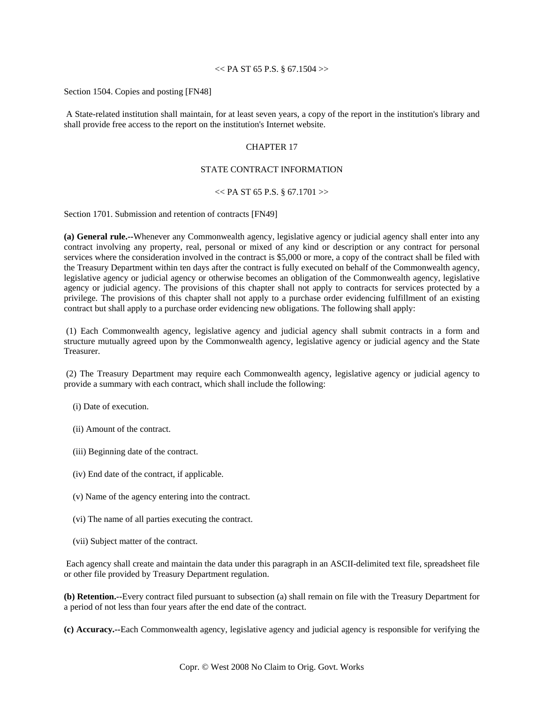## $<<$  PA ST 65 P.S. § 67.1504 $>>$

Section 1504. Copies and posting [FN48]

 A State-related institution shall maintain, for at least seven years, a copy of the report in the institution's library and shall provide free access to the report on the institution's Internet website.

# CHAPTER 17

### STATE CONTRACT INFORMATION

## $<<$  PA ST 65 P.S. § 67.1701 >>

Section 1701. Submission and retention of contracts [FN49]

**(a) General rule.--**Whenever any Commonwealth agency, legislative agency or judicial agency shall enter into any contract involving any property, real, personal or mixed of any kind or description or any contract for personal services where the consideration involved in the contract is \$5,000 or more, a copy of the contract shall be filed with the Treasury Department within ten days after the contract is fully executed on behalf of the Commonwealth agency, legislative agency or judicial agency or otherwise becomes an obligation of the Commonwealth agency, legislative agency or judicial agency. The provisions of this chapter shall not apply to contracts for services protected by a privilege. The provisions of this chapter shall not apply to a purchase order evidencing fulfillment of an existing contract but shall apply to a purchase order evidencing new obligations. The following shall apply:

 (1) Each Commonwealth agency, legislative agency and judicial agency shall submit contracts in a form and structure mutually agreed upon by the Commonwealth agency, legislative agency or judicial agency and the State Treasurer.

 (2) The Treasury Department may require each Commonwealth agency, legislative agency or judicial agency to provide a summary with each contract, which shall include the following:

(i) Date of execution.

(ii) Amount of the contract.

- (iii) Beginning date of the contract.
- (iv) End date of the contract, if applicable.
- (v) Name of the agency entering into the contract.
- (vi) The name of all parties executing the contract.
- (vii) Subject matter of the contract.

 Each agency shall create and maintain the data under this paragraph in an ASCII-delimited text file, spreadsheet file or other file provided by Treasury Department regulation.

**(b) Retention.--**Every contract filed pursuant to subsection (a) shall remain on file with the Treasury Department for a period of not less than four years after the end date of the contract.

**(c) Accuracy.--**Each Commonwealth agency, legislative agency and judicial agency is responsible for verifying the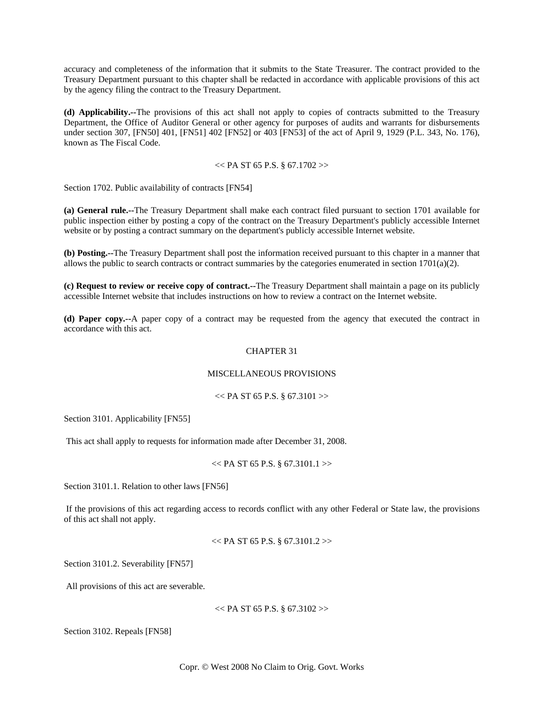accuracy and completeness of the information that it submits to the State Treasurer. The contract provided to the Treasury Department pursuant to this chapter shall be redacted in accordance with applicable provisions of this act by the agency filing the contract to the Treasury Department.

**(d) Applicability.--**The provisions of this act shall not apply to copies of contracts submitted to the Treasury Department, the Office of Auditor General or other agency for purposes of audits and warrants for disbursements under section 307, [FN50] 401, [FN51] 402 [FN52] or 403 [FN53] of the act of April 9, 1929 (P.L. 343, No. 176), known as The Fiscal Code.

### $<<$  PA ST 65 P.S. § 67.1702 >>

Section 1702. Public availability of contracts [FN54]

**(a) General rule.--**The Treasury Department shall make each contract filed pursuant to section 1701 available for public inspection either by posting a copy of the contract on the Treasury Department's publicly accessible Internet website or by posting a contract summary on the department's publicly accessible Internet website.

**(b) Posting.--**The Treasury Department shall post the information received pursuant to this chapter in a manner that allows the public to search contracts or contract summaries by the categories enumerated in section  $1701(a)(2)$ .

**(c) Request to review or receive copy of contract.--**The Treasury Department shall maintain a page on its publicly accessible Internet website that includes instructions on how to review a contract on the Internet website.

**(d) Paper copy.--**A paper copy of a contract may be requested from the agency that executed the contract in accordance with this act.

## CHAPTER 31

# MISCELLANEOUS PROVISIONS

#### $<<$  PA ST 65 P.S. § 67.3101 >>

Section 3101. Applicability [FN55]

This act shall apply to requests for information made after December 31, 2008.

### $<<$  PA ST 65 P.S. § 67.3101.1 >>

Section 3101.1. Relation to other laws [FN56]

 If the provisions of this act regarding access to records conflict with any other Federal or State law, the provisions of this act shall not apply.

```
<< PA ST 65 P.S. § 67.3101.2>>
```
Section 3101.2. Severability [FN57]

All provisions of this act are severable.

```
<< PA ST 65 P.S. § 67.3102>>
```
Section 3102. Repeals [FN58]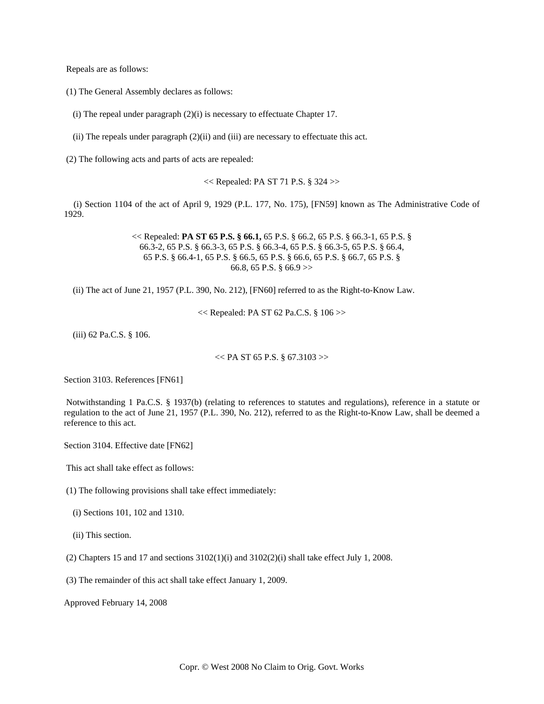Repeals are as follows:

(1) The General Assembly declares as follows:

(i) The repeal under paragraph (2)(i) is necessary to effectuate Chapter 17.

(ii) The repeals under paragraph (2)(ii) and (iii) are necessary to effectuate this act.

(2) The following acts and parts of acts are repealed:

 $<<$  Repealed: PA ST 71 P.S. § 324 >>

 (i) Section 1104 of the act of April 9, 1929 (P.L. 177, No. 175), [FN59] known as The Administrative Code of 1929.

> << Repealed: **PA ST 65 P.S. § 66.1,** 65 P.S. § 66.2, 65 P.S. § 66.3-1, 65 P.S. § 66.3-2, 65 P.S. § 66.3-3, 65 P.S. § 66.3-4, 65 P.S. § 66.3-5, 65 P.S. § 66.4, 65 P.S. § 66.4-1, 65 P.S. § 66.5, 65 P.S. § 66.6, 65 P.S. § 66.7, 65 P.S. § 66.8, 65 P.S. § 66.9 >>

(ii) The act of June 21, 1957 (P.L. 390, No. 212), [FN60] referred to as the Right-to-Know Law.

<< Repealed: PA ST 62 Pa.C.S. § 106 >>

(iii) 62 Pa.C.S. § 106.

 $<<$  PA ST 65 P.S. § 67.3103 $>>$ 

Section 3103. References [FN61]

 Notwithstanding 1 Pa.C.S. § 1937(b) (relating to references to statutes and regulations), reference in a statute or regulation to the act of June 21, 1957 (P.L. 390, No. 212), referred to as the Right-to-Know Law, shall be deemed a reference to this act.

Section 3104. Effective date [FN62]

This act shall take effect as follows:

(1) The following provisions shall take effect immediately:

- (i) Sections 101, 102 and 1310.
- (ii) This section.
- (2) Chapters 15 and 17 and sections  $3102(1)(i)$  and  $3102(2)(i)$  shall take effect July 1, 2008.

(3) The remainder of this act shall take effect January 1, 2009.

Approved February 14, 2008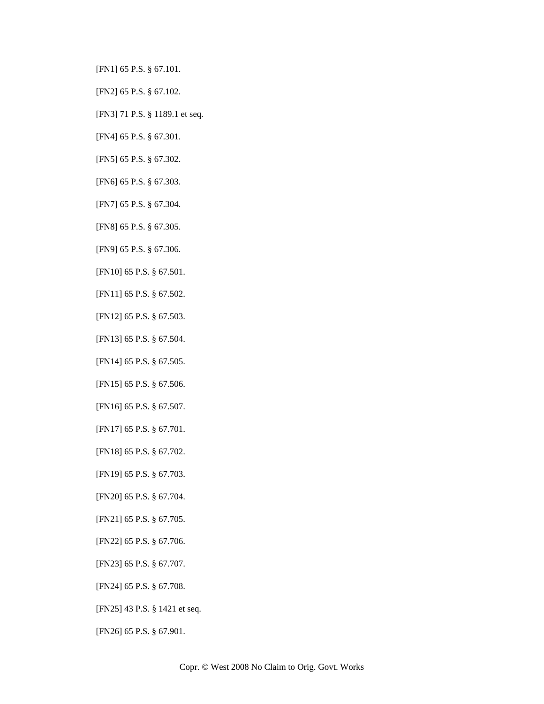[FN1] 65 P.S. § 67.101.

[FN2] 65 P.S. § 67.102.

[FN3] 71 P.S. § 1189.1 et seq.

[FN4] 65 P.S. § 67.301.

[FN5] 65 P.S. § 67.302.

[FN6] 65 P.S. § 67.303.

[FN7] 65 P.S. § 67.304.

[FN8] 65 P.S. § 67.305.

[FN9] 65 P.S. § 67.306.

[FN10] 65 P.S. § 67.501.

[FN11] 65 P.S. § 67.502.

[FN12] 65 P.S. § 67.503.

[FN13] 65 P.S. § 67.504.

[FN14] 65 P.S. § 67.505.

[FN15] 65 P.S. § 67.506.

[FN16] 65 P.S. § 67.507.

[FN17] 65 P.S. § 67.701.

[FN18] 65 P.S. § 67.702.

[FN19] 65 P.S. § 67.703.

[FN20] 65 P.S. § 67.704.

[FN21] 65 P.S. § 67.705.

[FN22] 65 P.S. § 67.706.

[FN23] 65 P.S. § 67.707.

[FN24] 65 P.S. § 67.708.

[FN25] 43 P.S. § 1421 et seq.

[FN26] 65 P.S. § 67.901.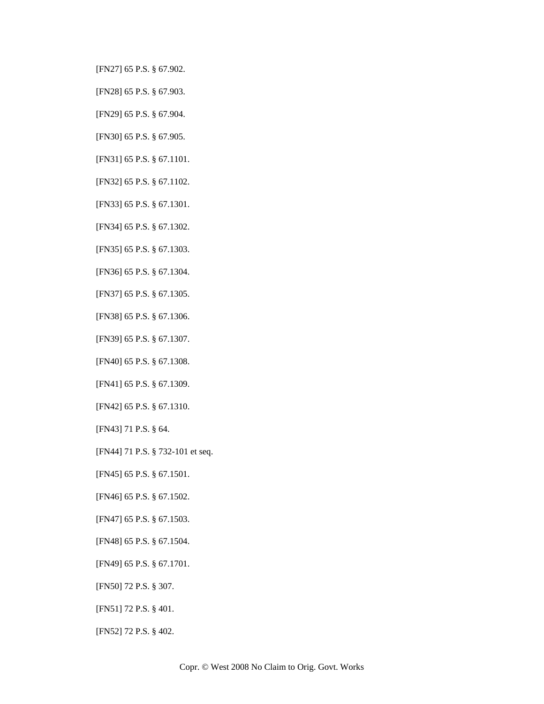- [FN27] 65 P.S. § 67.902.
- [FN28] 65 P.S. § 67.903.
- [FN29] 65 P.S. § 67.904.
- [FN30] 65 P.S. § 67.905.
- [FN31] 65 P.S. § 67.1101.
- [FN32] 65 P.S. § 67.1102.
- [FN33] 65 P.S. § 67.1301.
- [FN34] 65 P.S. § 67.1302.
- [FN35] 65 P.S. § 67.1303.
- [FN36] 65 P.S. § 67.1304.
- [FN37] 65 P.S. § 67.1305.
- [FN38] 65 P.S. § 67.1306.
- [FN39] 65 P.S. § 67.1307.
- [FN40] 65 P.S. § 67.1308.
- [FN41] 65 P.S. § 67.1309.
- [FN42] 65 P.S. § 67.1310.
- [FN43] 71 P.S. § 64.
- [FN44] 71 P.S. § 732-101 et seq.
- [FN45] 65 P.S. § 67.1501.
- [FN46] 65 P.S. § 67.1502.
- [FN47] 65 P.S. § 67.1503.
- [FN48] 65 P.S. § 67.1504.
- [FN49] 65 P.S. § 67.1701.
- [FN50] 72 P.S. § 307.
- [FN51] 72 P.S. § 401.
- [FN52] 72 P.S. § 402.